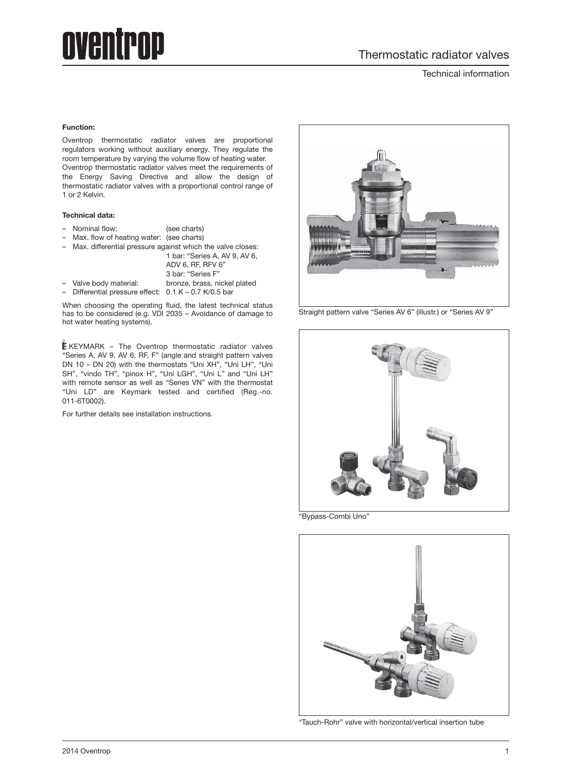# oventrop

Technical information

#### **Function:**

Oventrop thermostatic radiator valves are proportional regulators working without auxiliary energy. They regulate the room temperature by varying the volume flow of heating water. Oventrop thermostatic radiator valves meet the requirements of the Energy Saving Directive and allow the design of thermostatic radiator valves with a proportional control range of 1 or 2 Kelvin.

#### **Technical data:**

- Nominal flow: (see charts)
- Max. flow of heating water: (see charts)
- Max. differential pressure against which the valve closes:

|                                                         | 1 bar: "Series A, AV 9, AV 6. |  |
|---------------------------------------------------------|-------------------------------|--|
|                                                         | ADV 6, RF, RFV 6"             |  |
|                                                         | 3 bar: "Series F"             |  |
| - Valve body material:                                  | bronze, brass, nickel plated  |  |
| - Differential pressure effect: $0.1 K - 0.7 K/0.5$ bar |                               |  |

When choosing the operating fluid, the latest technical status has to be considered (e.g. VDI 2035 – Avoidance of damage to hot water heating systems).

 $E$ KEYMARK – The Oventrop thermostatic radiator valves "Series A, AV 9, AV 6, RF, F" (angle and straight pattern valves DN 10 – DN 20) with the thermostats "Uni XH", "Uni LH", "Uni SH", "vindo TH", "pinox H", "Uni LGH", "Uni L" and "Uni LH" with remote sensor as well as "Series VN" with the thermostat "Uni LD" are Keymark tested and certified (Reg.-no. 011-6T0002).

For further details see installation instructions.



Straight pattern valve "Series AV 6" (illustr.) or "Series AV 9"



"Bypass-Combi Uno"



"Tauch-Rohr" valve with horizontal/vertical insertion tube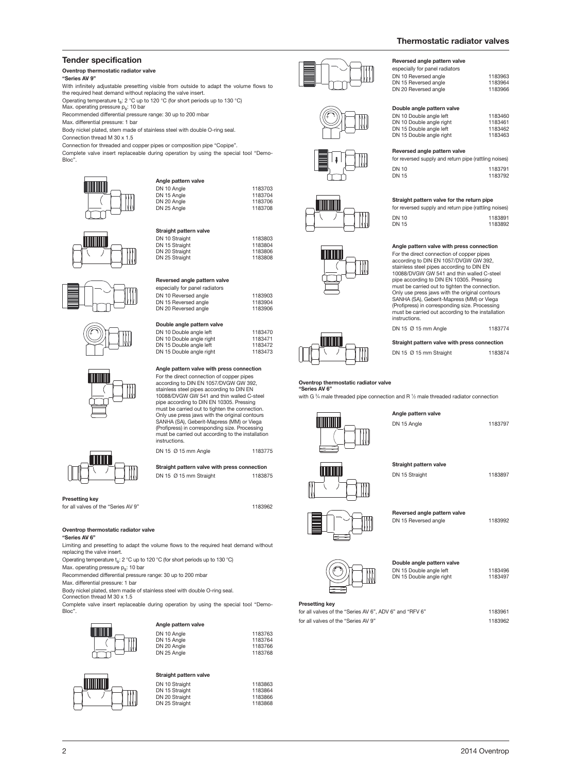DN 10 Reversed angle 1183963 DN 15 Reversed angle 1183964 DN 20 Reversed angle 1183966

DN 10 Double angle left 1183460<br>
DN 10 Double angle right 1183461 DN 10 Double angle right 1183461 DN 15 Double angle left 1183462 DN 15 Double angle right 1183463

for reversed supply and return pipe (rattling noises) DN 10<br>DN 15 1183792

**Straight pattern valve for the return pipe** for reversed supply and return pipe (rattling noises) DN 10 1183891<br>DN 15 1183892

**Angle pattern valve with press connection** For the direct connection of copper pipes according to DIN EN 1057/DVGW GW 392, stainless steel pipes according to DIN EN 10088/DVGW GW 541 and thin walled C-steel pipe according to DIN EN 10305. Pressing must be carried out to tighten the connection. Only use press jaws with the original contours SANHA (SA), Geberit-Mapress (MM) or Viega (Profipress) in corresponding size. Processing must be carried out according to the installation

DN 15  $\varnothing$  15 mm Angle 1183774 **Straight pattern valve with press connection** DN 15 Ø 15 mm Straight 1183874

**Reversed angle pattern valve** especially for panel radiators

**Double angle pattern valve**

**Reversed angle pattern valve**

#### **Tender specification**

#### **Oventrop thermostatic radiator valve**

**"Series AV 9"**

With infinitely adjustable presetting visible from outside to adapt the volume flows to the required heat demand without replacing the valve insert.

Operating temperature  $t_s$ : 2 °C up to 120 °C (for short periods up to 130 °C) Max. operating pressure p<sub>s</sub>: 10 bar

Recommended differential pressure range: 30 up to 200 mbar

Max. differential pressure: 1 bar

Body nickel plated, stem made of stainless steel with double O-ring seal.

Connection thread M 30 x 1.5

Connection for threaded and copper pipes or composition pipe "Copipe".

Complete valve insert replaceable during operation by using the special tool "Demo-Bloc".

DN 15 Angle<br>DN 20 Angle

DN 25 Angle

DN 25 Straight

**Angle pattern valve**

**Straight pattern valve**

**Reversed angle pattern valve** especially for panel radiators

**Double angle pattern valve**

DN 10 Angle 1183703

DN 10 Straight 1183803<br>DN 15 Straight 1183804 EN 15 Straight<br>
DN 15 Straight<br>
DN 20 Straight<br>
1183806<br>
1183806 DN 20 Straight 1183806<br>
DN 25 Straight 1183806

DN 10 Reversed angle<br>
DN 15 Reversed angle<br>
1183904 DN 15 Reversed angle 1183904 DN 20 Reversed angle 1183906

DN 10 Double angle left 1183470<br>DN 10 Double angle right 1183471 DN 10 Double angle right 1183471 DN 15 Double angle left 1183472 DN 15 Double angle right 1183473

**Angle pattern valve with press connection** For the direct connection of copper pipes according to DIN EN 1057/DVGW GW 392, stainless steel pipes according to DIN EN 10088/DVGW GW 541 and thin walled C-steel pipe according to DIN EN 10305. Pressing must be carried out to tighten the connection. Only use press jaws with the original contours SANHA (SA), Geberit-Mapress (MM) or Viega (Profipress) in corresponding size. Processing must be carried out according to the installation

DN 15 Ø 15 mm Angle 1183775 **Straight pattern valve with press connection** DN 15 Ø 15 mm Straight 1183875

1183704<br>1183706<br>1183708













**Presetting key** for all valves of the "Series AV 9" 1183962

#### **Oventrop thermostatic radiator valve**

**"Series AV 6"**

Limiting and presetting to adapt the volume flows to the required heat demand without replacing the valve insert.

instructions.

Operating temperature ts: 2 °C up to 120 °C (for short periods up to 130 °C)

Max. operating pressure  $p_s$ : 10 bar

Recommended differential pressure range: 30 up to 200 mbar

Max. differential pressure: 1 bar

 $\int$ 

Body nickel plated, stem made of stainless steel with double O-ring seal. Connection thread M 30 x 1.5

Complete valve insert replaceable during operation by using the special tool "Demo-Bloc".

| Angle pattern valve |         |
|---------------------|---------|
| DN 10 Angle         | 1183763 |
| DN 15 Angle         | 1183764 |
| DN 20 Angle         | 1183766 |
| DN 25 Angle         | 1183768 |

#### **Straight pattern valve**

| DN 10 Straight | 1183863 |
|----------------|---------|
| DN 15 Straight | 1183864 |
| DN 20 Straight | 1183866 |
| DN 25 Straight | 1183868 |
|                |         |













**Oventrop thermostatic radiator valve**

#### **"Series AV 6"**

with G  $\frac{3}{4}$  male threaded pipe connection and R  $\frac{1}{2}$  male threaded radiator connection

instructions.



**Angle pattern valve** DN 15 Angle 1183797



1183792

15 16 20 21



**Straight pattern valve** DN 15 Straight 1183897



**Reversed angle pattern valve** DN 15 Reversed angle 1183992



**Double angle pattern valve** DN 15 Double angle left 1183496<br>DN 15 Double angle right 1183497 DN 15 Double angle rent<br>DN 15 Double angle right

#### **Presetting key**

for all valves of the "Series AV 6", ADV 6" and "RFV 6" 1183961 for all valves of the "Series AV 9" 1183962





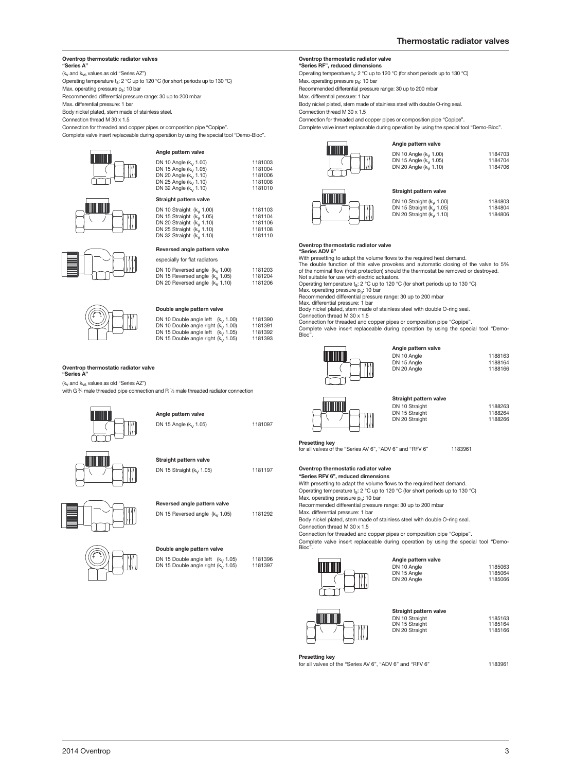#### **Oventrop thermostatic radiator valves "Series A"**

### $(k_v$  and  $k_{vs}$  values as old "Series AZ")

Operating temperature  $t_s$ : 2 °C up to 120 °C (for short periods up to 130 °C)

Max. operating pressure p<sub>s</sub>: 10 bar

Recommended differential pressure range: 30 up to 200 mbar

Max. differential pressure: 1 bar

Body nickel plated, stem made of stainless steel.

Connection thread M 30 x 1.5

Connection for threaded and copper pipes or composition pipe "Copipe". Complete valve insert replaceable during operation by using the special tool "Demo-Bloc".

**Angle pattern valve**

**Straight pattern valve**

DN 10 Angle (k<sub>v</sub> 1.00) 1181003<br>DN 15 Angle (k<sub>v</sub> 1.10) 1181004<br>DN 25 Angle (k<sub>v</sub> 1.10) 1181006<br>DN 32 Angle (k<sub>v</sub> 1.10) 1181008<br>DN 32 Angle (k<sub>v</sub> 1.10) 1181010

DN 10 Straight (kv 1.00) 1181103 DN 15 Straight (kv 1.05) 1181104 DN 20 Straight (kv 1.10) 1181106 DN 25 Straight (kv 1.10) 1181108 DN 32 Straight (k<sub>v</sub> 1.10) 1181110

DN 10 Reversed angle (k<sub>v</sub> 1.00) 1181203<br>DN 15 Reversed angle (k<sub>v</sub> 1.05) 1181204<br>DN 20 Reversed angle (k<sub>v</sub> 1.10) 1181206









#### **Double angle pattern valve**

**Reversed angle pattern valve**  especially for flat radiators

| WJ | DN 10 Double angle left $(k_1, 1.00)$<br>DN 10 Double angle right $(k_v 1.00)$ | 1181390<br>1181391 |
|----|--------------------------------------------------------------------------------|--------------------|
|    | DN 15 Double angle left $(k_1, 1.05)$                                          | 1181392            |
|    | DN 15 Double angle right $(k_1, 1.05)$                                         | 1181393            |

#### **Oventrop thermostatic radiator valve**

**"Series A"**

 $(k_v \text{ and } k_{vs} \text{ values as old "Series AZ")$ with G % male threaded pipe connection and R 1⁄2 male threaded radiator connection



| Reversed angle pattern valve |  |
|------------------------------|--|

DN 15 Reversed angle  $(k<sub>V</sub> 1.05)$  1181292

## + -

| <b>DOUDIC ANGLE DATION AND</b>                                                          |                    |
|-----------------------------------------------------------------------------------------|--------------------|
| DN 15 Double angle left $(k_1, 1.05)$<br>DN 15 Double angle right (k <sub>y</sub> 1.05) | 1181396<br>1181397 |

**Double angle pattern valve**

### **Oventrop thermostatic radiator valve "Series RF", reduced dimensions**

Operating temperature  $t_s$ : 2 °C up to 120 °C (for short periods up to 130 °C)

Max. operating pressure p<sub>s</sub>: 10 bar

Recommended differential pressure range: 30 up to 200 mbar

Max. differential pressure: 1 bar

Body nickel plated, stem made of stainless steel with double O-ring seal.

Connection thread M 30 x 1.5

Connection for threaded and copper pipes or composition pipe "Copipe".

Complete valve insert replaceable during operation by using the special tool "Demo-Bloc".





| Straight pattern valve         |         |  |
|--------------------------------|---------|--|
| DN 10 Straight $(k_v 1.00)$    | 1184803 |  |
| DN 15 Straight ( $k_v$ , 1.05) | 1184804 |  |
| DN 20 Straight $(k_v 1.10)$    | 1184806 |  |

#### **Oventrop thermostatic radiator valve**

**"Series ADV 6"** With presetting to adapt the volume flows to the required heat demand.

The double function of this valve provokes and automatic closing of the valve to 5% of the nominal flow (frost protection) should the thermostat be removed or destroyed. Not suitable for use with electric actuators.

Operating temperature  $t_s$ : 2 °C up to 120 °C (for short periods up to 130 °C)

Max. operating pressure ps: 10 bar Recommended differential pressure range: 30 up to 200 mbar Max. differential pressure: 1 bar

Body nickel plated, stem made of stainless steel with double O-ring seal. Connection thread M 30 x 1.5

Connection for threaded and copper pipes or composition pipe "Copipe". Complete valve insert replaceable during operation by using the special tool "Demo-

Bloc".



| Angle pattern valve |         |
|---------------------|---------|
| DN 10 Angle         | 1188163 |
| DN 15 Angle         | 1188164 |
| DN 20 Angle         | 1188166 |
|                     |         |



**Presetting key**

for all valves of the "Series AV 6", "ADV 6" and "RFV 6" 1183961

**Oventrop thermostatic radiator valve**

**"Series RFV 6", reduced dimensions**

With presetting to adapt the volume flows to the required heat demand. Operating temperature t<sub>s</sub>: 2 °C up to 120 °C (for short periods up to 130 °C) Max. operating pressure  $p_s$ : 10 bar

Recommended differential pressure range: 30 up to 200 mbar

Max. differential pressure: 1 bar

Body nickel plated, stem made of stainless steel with double O-ring seal. Connection thread M 30 x 1.5

Connection for threaded and copper pipes or composition pipe "Copipe".

Complete valve insert replaceable during operation by using the special tool "Demo-Bloc".

#### **Angle pattern valve**



DN 10 Angle 1185063 DN 15 Angle 1185064 DN 20 Angle 1185066



| Straight pattern valve           |
|----------------------------------|
| DN 10 Straight<br>DN 15 Straight |
| DN 20 Straight                   |
|                                  |

DN 15 Straight 1185164 DN 20 Straight 1185166

1185163

**Presetting key**

for all valves of the "Series AV 6", "ADV 6" and "RFV 6" 1183961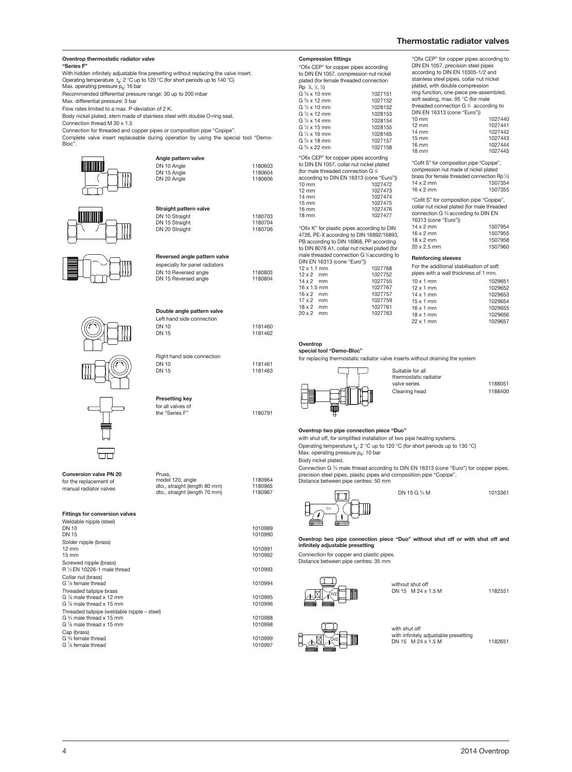| - 11                                                                                                          | Straight pattern valve                                                                                         |                               | ,,,,,,,,<br>$12 \, \text{mm}$<br>14 mm<br>$15 \, \text{mm}$<br>16 mm                                                                                                           |
|---------------------------------------------------------------------------------------------------------------|----------------------------------------------------------------------------------------------------------------|-------------------------------|--------------------------------------------------------------------------------------------------------------------------------------------------------------------------------|
|                                                                                                               | DN 10 Straight                                                                                                 | 1180703                       | 18 mm                                                                                                                                                                          |
|                                                                                                               | DN 15 Straight<br>DN 20 Straight                                                                               | 1180704<br>1180706            | "Ofix K" fo<br>4726, PE-><br>PB accord<br>to DIN 807                                                                                                                           |
|                                                                                                               | Reversed angle pattern valve<br>especially for panel radiators<br>DN 10 Reversed angle<br>DN 15 Reversed angle | 1180803<br>1180804            | male threa<br>DIN EN 16<br>$12 \times 1.1 \text{ m}$<br>$12 \times 2$ m<br>$14 \times 2$ m<br>$16 \times 1.5$ m<br>$16 \times 2$ m<br>$17 \times 2$<br>m<br>$18 \times 2$<br>m |
|                                                                                                               | Double angle pattern valve<br>Left hand side connection                                                        |                               | $20 \times 2$ m                                                                                                                                                                |
|                                                                                                               | <b>DN 10</b><br><b>DN 15</b>                                                                                   | 1181460<br>1181462            | Oventrop                                                                                                                                                                       |
|                                                                                                               |                                                                                                                |                               | special to                                                                                                                                                                     |
|                                                                                                               | Right hand side connection<br><b>DN 10</b><br><b>DN 15</b>                                                     | 1181461<br>1181463            | for replaci                                                                                                                                                                    |
|                                                                                                               | <b>Presetting key</b><br>for all valves of<br>the "Series F"                                                   | 1180791                       |                                                                                                                                                                                |
| <b>Conversion valve PN 20</b><br>for the replacement of<br>manual radiator valves                             | Pruss,<br>model 120, angle<br>dto., straight (length 80 mm)<br>dto., straight (length 70 mm)                   | 1180964<br>1180965<br>1180967 | Oventrop<br>with shut o<br>Operating<br>Max. opera<br>Body nick<br>Connectio<br>precision s<br>Distance b                                                                      |
| <b>Fittings for conversion valves</b>                                                                         |                                                                                                                |                               |                                                                                                                                                                                |
| Weldable nipple (steel)<br><b>DN 10</b><br><b>DN 15</b>                                                       |                                                                                                                | 1010989<br>1010990            | Oventrop                                                                                                                                                                       |
| Solder nipple (brass)<br>$12 \text{ mm}$<br>15 mm                                                             |                                                                                                                | 1010991<br>1010992            | infinitely a<br>Connectio<br>Distance b                                                                                                                                        |
| Screwed nipple (brass)<br>R 1/2 EN 10226-1 male thread                                                        |                                                                                                                | 1010993                       |                                                                                                                                                                                |
| Collar nut (brass)<br>G 1/8 female thread                                                                     |                                                                                                                | 1010994                       |                                                                                                                                                                                |
| Threaded tailpipe brass<br>G % male thread x 12 mm<br>G 1/8 male thread x 15 mm                               |                                                                                                                | 1010995<br>1010996            |                                                                                                                                                                                |
| Threaded tailpipe (weldable nipple - steel)<br>G % male thread x 15 mm<br>G $\frac{7}{8}$ male thread x 15 mm |                                                                                                                | 1010988<br>1010998            |                                                                                                                                                                                |
| Cap (brass)<br>G % female thread<br>G % female thread                                                         |                                                                                                                | 1010999<br>1010997            | $\overline{\mathbb{A}}$                                                                                                                                                        |

**Oventrop thermostatic radiator valve**

Max. operating pressure p<sub>s</sub>: 16 bar

Max. differential pressure: 3 bar

Connection thread M 30 x 1.5

Flow rates limited to a max. P-deviation of 2 K.

↑m

With hidden infinitely adjustable fine presetting without replacing the valve insert. Operating temperature ts: 2 °C up to 120 °C (for short periods up to 140 °C)

Recommended differential pressure range: 30 up to 200 mbar

Body nickel plated, stem made of stainless steel with double O-ring seal.

Connection for threaded and copper pipes or composition pipe "Copipe".

Complete valve insert replaceable during operation by using the special tool "Demo-

DN 20 Angle

**Angle pattern valve**

DN 10 Angle<br>
DN 15 Angle<br>
1180604 DN 15 Angle 1180604

**"Series F"**

Bloc".

| <b>Compression fittings</b> |                                                                                                                                                                                                                                                                                                                                                                                                       |
|-----------------------------|-------------------------------------------------------------------------------------------------------------------------------------------------------------------------------------------------------------------------------------------------------------------------------------------------------------------------------------------------------------------------------------------------------|
|                             |                                                                                                                                                                                                                                                                                                                                                                                                       |
|                             |                                                                                                                                                                                                                                                                                                                                                                                                       |
|                             |                                                                                                                                                                                                                                                                                                                                                                                                       |
|                             |                                                                                                                                                                                                                                                                                                                                                                                                       |
|                             | 1027151                                                                                                                                                                                                                                                                                                                                                                                               |
|                             |                                                                                                                                                                                                                                                                                                                                                                                                       |
|                             | 1027152                                                                                                                                                                                                                                                                                                                                                                                               |
|                             | 1028152                                                                                                                                                                                                                                                                                                                                                                                               |
|                             | 1028153                                                                                                                                                                                                                                                                                                                                                                                               |
| G $\frac{1}{2}$ x 14 mm     | 1028154                                                                                                                                                                                                                                                                                                                                                                                               |
| G 1/2 x 15 mm               | 1028155                                                                                                                                                                                                                                                                                                                                                                                               |
| G $\frac{1}{2}$ x 16 mm     | 1028165                                                                                                                                                                                                                                                                                                                                                                                               |
| $G\frac{3}{4}$ x 18 mm      | 1027157                                                                                                                                                                                                                                                                                                                                                                                               |
| G $\frac{3}{4}$ x 22 mm     | 1027158                                                                                                                                                                                                                                                                                                                                                                                               |
|                             |                                                                                                                                                                                                                                                                                                                                                                                                       |
|                             |                                                                                                                                                                                                                                                                                                                                                                                                       |
|                             |                                                                                                                                                                                                                                                                                                                                                                                                       |
|                             |                                                                                                                                                                                                                                                                                                                                                                                                       |
|                             |                                                                                                                                                                                                                                                                                                                                                                                                       |
| $10 \text{ mm}$             | 1027472                                                                                                                                                                                                                                                                                                                                                                                               |
| $12 \text{ mm}$             | 1027473                                                                                                                                                                                                                                                                                                                                                                                               |
| $14 \text{ mm}$             | 1027474                                                                                                                                                                                                                                                                                                                                                                                               |
| $15 \text{ mm}$             | 1027475                                                                                                                                                                                                                                                                                                                                                                                               |
| $16 \text{ mm}$             | 1027476                                                                                                                                                                                                                                                                                                                                                                                               |
| 18 mm                       | 1027477                                                                                                                                                                                                                                                                                                                                                                                               |
|                             | "Ofix CEP" for copper pipes according<br>to DIN EN 1057, compression nut nickel<br>plated (for female threaded connection<br>Rp %, ½, ½)<br>$G3$ x 10 mm<br>$G \frac{3}{8}$ x 12 mm<br>G $\frac{1}{2}$ x 10 mm<br>G 1/2 x 12 mm<br>"Ofix CEP" for copper pipes according<br>to DIN EN 1057, collar nut nickel plated<br>(for male threaded connection G %<br>according to DIN EN 16313 (cone "Euro")) |

or plastic pipes according to DIN 4726, PE-X according to DIN 16892/16893, PB according to DIN 16968, PP according to DIN 8078 A1, collar nut nickel plated (for male threaded connection G % according to 6313 (cone "Euro")) bo 15 (corie Euro *))*<br>nm 1027768

| $12 \times 2$ mm   | 1027752 |
|--------------------|---------|
| $14 \times 2$ mm   | 1027755 |
| $16 \times 1.5$ mm | 1027767 |
| $16 \times 2$ mm   | 1027757 |
| $17 \times 2$ mm   | 1027759 |
| $18 \times 2$ mm   | 1027761 |
| $20 \times 2$ mm   | 1027763 |
|                    |         |

"Cofit S" for composition pipe "Copipe", compression nut made of nickel plated "Ofix CEP" for copper pipes according to DIN EN 1057, precision steel pipes according to DIN EN 10305-1/2 and stainless steel pipes, collar nut nickel plated, with double compression ring function, one-piece pre-assembled, soft sealing, max. 95 °C (for male<br>threaded connection G % according to DIN EN 16313 (cone "Euro")) 10 mm<br>10 mm 1027440<br>12 mm 1027441 12 mm<br>12 mm<br>14 mm<br>1027442 1027442<br>1027443  $15 \text{ mm}$ <br> $16 \text{ mm}$ 16 mm<br>16 mm<br>1027444<br>18 mm 10 27445

brass (for female threaded connection Rp<sup>1</sup>/2) 14 x 2 mm<br>16 x 2 mm<br>1507355  $16 \times 2$  mm "Cofit S" for composition pipe "Copipe", collar nut nickel plated (for male threaded connection G <sup>3</sup> ⁄4 according to DIN EN 16313 (cone "Euro"))

| 1001010000000101 |         |
|------------------|---------|
| $14 \times 2$ mm | 1507954 |
| $16 \times 2$ mm | 1507955 |
| $18 \times 2$ mm | 1507958 |
| 20 x 2.5 mm      | 1507960 |
|                  |         |

#### **Reinforcing sleeves**

| For the additional stabilisation of soft<br>pipes with a wall thickness of 1 mm. |         |
|----------------------------------------------------------------------------------|---------|
|                                                                                  |         |
| $10 \times 1$ mm                                                                 | 1029651 |
| $12 \times 1$ mm                                                                 | 1029652 |
| $14 \times 1$ mm                                                                 | 1029653 |
| $15 \times 1$ mm                                                                 | 1029654 |
| $16 \times 1$ mm                                                                 | 1029655 |
| $18 \times 1$ mm                                                                 | 1029656 |
| $22 \times 1$ mm                                                                 | 1029657 |
|                                                                                  |         |

#### **special tool "Demo-Bloc"**

na thermostatic radiator valve inserts without draining the system



| e for all       |         |
|-----------------|---------|
| static radiator |         |
| eries           | 1188051 |
| ıg head         | 1188400 |

#### **Oventrop two pipe connection piece "Duo"**

off, for simplified installation of two pipe heating systems. temperature  $t_s$ : 2 °C up to 120 °C (for short periods up to 130 °C)  $m_{\rm F}$  at  $m_{\rm s}$ .  $m_{\rm s}$ . 10 bar

el plated.

Connection G 3 ⁄4 male thread according to DIN EN 16313 (cone "Euro") for copper pipes, steel pipes, plastic pipes and composition pipe "Copipe". Distance between pipe centres: 50 mm

Suitabl

DN 15 G <sup>3/4</sup> M



⁄4 M 1013361

two pipe connection piece "Duo" without shut off or with shut off and **infinitely adjustable presetting**

Connection for copper and plastic pipes. Distance between pipe centres: 35 mm



 without shut off DN 15 M 24 x 1.5 M 1182551





thermo valve se Cleaning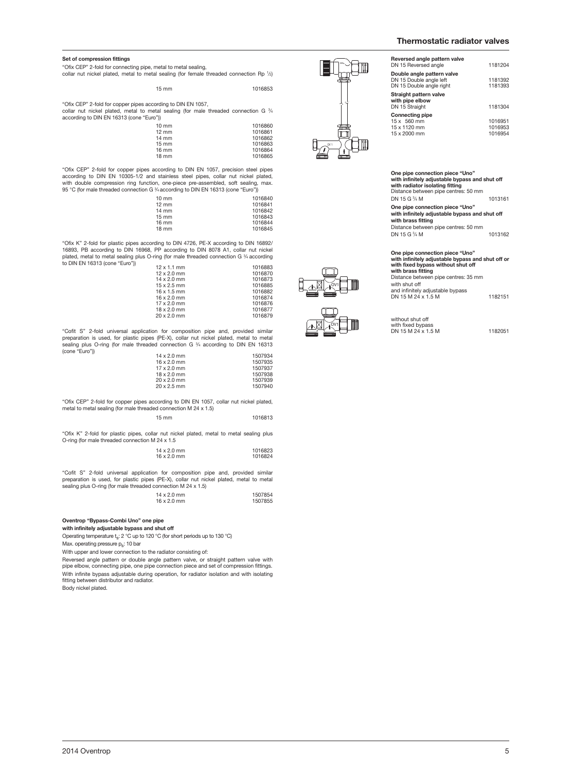**Reversed** 

**Dou**<br>DN 1

**Strai with**<br>DN<sub>1</sub>

**Connection** 

#### **Set of compression fittings**

"Ofix CEP" 2-fold for connecting pipe, metal to metal sealing, collar nut nickel plated, metal to metal sealing (for female threaded connection Rp <sup>1</sup> ⁄2)

15 mm 1016853

"Ofix CEP" 2-fold for copper pipes according to DIN EN 1057, collar nut nickel plated, metal to metal sealing (for male threaded connection G <sup>3</sup> ⁄4 according to DIN EN 16313 (cone "Euro"))

| $10 \text{ mm}$ | 1016860 |
|-----------------|---------|
| $12 \text{ mm}$ | 1016861 |
| $14 \text{ mm}$ | 1016862 |
| $15 \text{ mm}$ | 1016863 |
| $16 \text{ mm}$ | 1016864 |
| 18 mm           | 1016865 |

"Ofix CEP" 2-fold for copper pipes according to DIN EN 1057, precision steel pipes according to DIN EN 10305-1/2 and stainless steel pipes, collar nut nickel plated, with double compression ring function, one-piece pre-assembled, soft sealing, max. 95 °C (for male threaded connection G <sup>3</sup> ⁄4 according to DIN EN 16313 (cone "Euro"))

| $10 \text{ mm}$   | 1016840 |
|-------------------|---------|
| $12 \text{ mm}$   | 1016841 |
| $14 \text{ mm}$   | 1016842 |
| $15 \, \text{mm}$ | 1016843 |
| $16 \text{ mm}$   | 1016844 |
| $18 \text{ mm}$   | 1016845 |
|                   |         |

"Ofix K" 2-fold for plastic pipes according to DIN 4726, PE-X according to DIN 16892/ 16893, PB according to DIN 16968, PP according to DIN 8078 A1, collar nut nickel plated, metal to metal sealing plus O-ring (for male threaded connection G  $\mathrm{\%}$  according to DIN EN 16313 (cone "Euro")

| $12 \times 1.1$ mm | 1016883 |
|--------------------|---------|
| $12 \times 2.0$ mm | 1016870 |
| $14 \times 2.0$ mm | 1016873 |
| $15 \times 2.5$ mm | 1016885 |
| $16 \times 1.5$ mm | 1016882 |
| $16 \times 2.0$ mm | 1016874 |
| $17 \times 2.0$ mm | 1016876 |
| $18 \times 2.0$ mm | 1016877 |
| $20 \times 2.0$ mm | 1016879 |

"Cofit S" 2-fold universal application for composition pipe and, provided similar preparation is used, for plastic pipes (PE-X), collar nut nickel plated, metal to metal sealing plus O-ring (for male threaded connection G <sup>3</sup> ⁄<sup>4</sup> according to DIN EN 16313 (cone "Euro")) 14 x 2.0 mm 1507934

| $14 \times 2.0$ mm | 1507934 |
|--------------------|---------|
| $16 \times 2.0$ mm | 1507935 |
| $17 \times 2.0$ mm | 1507937 |
| $18 \times 2.0$ mm | 1507938 |
| $20 \times 2.0$ mm | 1507939 |
| $20 \times 2.5$ mm | 1507940 |

"Ofix CEP" 2-fold for copper pipes according to DIN EN 1057, collar nut nickel plated, metal to metal sealing (for male threaded connection M 24 x 1.5)

15 mm 1016813

"Ofix K" 2-fold for plastic pipes, collar nut nickel plated, metal to metal sealing plus O-ring (for male threaded connection M 24 x 1.5

| $14 \times 2.0$ mm | 1016823 |
|--------------------|---------|
| $16 \times 2.0$ mm | 1016824 |

"Cofit S" 2-fold universal application for composition pipe and, provided similar preparation is used, for plastic pipes (PE-X), collar nut nickel plated, metal to metal sealing plus O-ring (for male threaded connection M  $24 \times 1.5$ )

| $14 \times 2.0$ mm | 1507854 |
|--------------------|---------|
| $16 \times 2.0$ mm | 1507855 |

**Oventrop "Bypass-Combi Uno" one pipe**

**with infinitely adjustable bypass and shut off**

Operating temperature  $t_s$ : 2 °C up to 120 °C (for short periods up to 130 °C) Max. operating pressure p<sub>s</sub>: 10 bar

With upper and lower connection to the radiator consisting of:

Reversed angle pattern or double angle pattern valve, or straight pattern valve with pipe elbow, connecting pipe, one pipe connection piece and set of compression fittings. With infinite bypass adjustable during operation, for radiator isolation and with isolating fitting between distributor and radiator Body nickel plated.



OV1

OV1

| Reversed angle pattern valve<br>DN 15 Reversed angle                              | 1181204                       |
|-----------------------------------------------------------------------------------|-------------------------------|
| Double angle pattern valve<br>DN 15 Double angle left<br>DN 15 Double angle right | 1181392<br>1181393            |
| Straight pattern valve<br>with pipe elbow<br>DN 15 Straight                       | 1181304                       |
| <b>Connecting pipe</b><br>15 x 560 mm<br>15 x 1120 mm<br>15 x 2000 mm             | 1016951<br>1016953<br>1016954 |
|                                                                                   |                               |

**One pipe connection piece "Uno" with infinitely adjustable bypass and shut off with radiator isolating fitting** Distance between pipe centres: 50 mm

DN 15 G <sup>3/4</sup> M ⁄4 M 1013161

**One pipe connection piece "Uno" with infinitely adjustable bypass and shut off with brass fitting** Distance between pipe centres: 50 mm

DN 15 G 3/4 M ⁄4 M 1013162

### **One pipe connection piece "Uno" with infinitely adjustable bypass and shut off or with fixed bypass without shut off with brass fitting**

Distance between pipe centres: 35 mm with shut off and infinitely adjustable bypass DN 15 M 24 x 1.5 M 1182151

without shut off with fixed bypass DN 15 M 24 x 1.5 M 1182051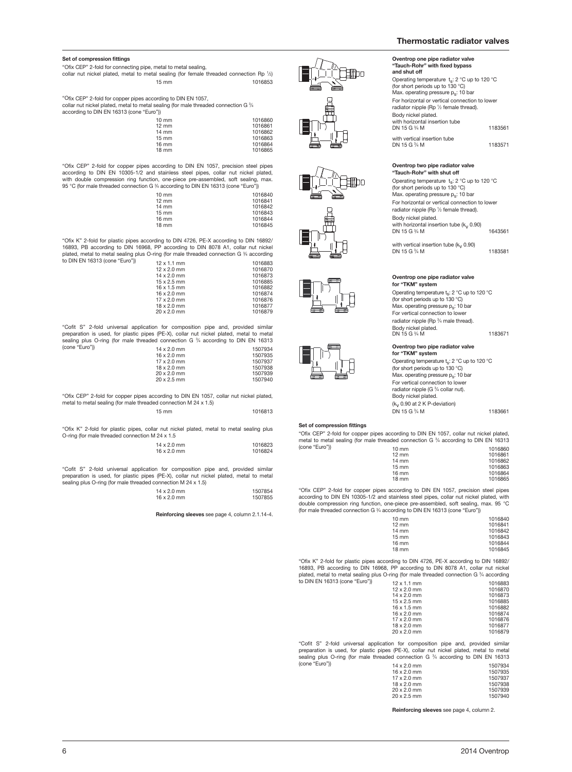Operating temperature  $t_s$ : 2 °C up to 120 °C (for short periods up to 130 °C) Max. operating pressure  $p_s$ : 10 bar For horizontal or vertical connection to lower radiator nipple (Rp 1/2 female thread).

**Oventrop one pipe radiator valve "Tauch-Rohr" with fixed bypass**

**and shut off**

Body nickel plated. with horizontal insertion tube

with vertical insertion tube DN 15 G <sup>3/4</sup> M

**Oventrop two pipe radiator valve "Tauch-Rohr" with shut off**

Operating temperature  $t_s$ : 2 °C up to 120 °C (for short periods up to 130 °C) Max. operating pressure ps: 10 bar For horizontal or vertical connection to lower radiator nipple (Rp 1/2 female thread).

DN 15 G <sup>3</sup>/<sub>4</sub> M

#### **Set of compression fittings**

| "Ofix CEP" 2-fold for connecting pipe, metal to metal sealing,                                      |                 |         |
|-----------------------------------------------------------------------------------------------------|-----------------|---------|
| collar nut nickel plated, metal to metal sealing (for female threaded connection Rp $\frac{1}{2}$ ) |                 |         |
|                                                                                                     | $15 \text{ mm}$ | 1016853 |

"Ofix CEP" 2-fold for copper pipes according to DIN EN 1057, collar nut nickel plated, metal to metal sealing (for male threaded connection G <sup>3</sup> ⁄4 according to DIN EN 16313 (cone "Euro"))

| וו ש            |         |
|-----------------|---------|
| $10 \text{ mm}$ | 1016860 |
| $12 \text{ mm}$ | 1016861 |
| $14 \text{ mm}$ | 1016862 |
| $15 \text{ mm}$ | 1016863 |
| 16 mm           | 1016864 |
| $18 \text{ mm}$ | 1016865 |
|                 |         |

"Ofix CEP" 2-fold for copper pipes according to DIN EN 1057, precision steel pipes according to DIN EN 10305-1/2 and stainless steel pipes, collar nut nickel plated, with double compression ring function, one-piece pre-assembled, soft sealing, max. 95 °C (for male threaded connection G 3 ⁄4 according to DIN EN 16313 (cone "Euro"))

| $10 \text{ mm}$ |  | 1016840 |
|-----------------|--|---------|
| $12 \text{ mm}$ |  | 1016841 |
| $14 \text{ mm}$ |  | 1016842 |
| $15 \text{ mm}$ |  | 1016843 |
| 16 mm           |  | 1016844 |
| 18 mm           |  | 1016845 |
|                 |  |         |

"Ofix K" 2-fold for plastic pipes according to DIN 4726, PE-X according to DIN 16892/ 16893, PB according to DIN 16968, PP according to DIN 8078 A1, collar nut nickel plated, metal to metal sealing plus O-ring (for male threaded connection G  $\frac{3}{4}$  according to DIN EN 16313 (cone "Euro"))

| 12 X 1.1 mm        | TU 16883 |
|--------------------|----------|
| $12 \times 2.0$ mm | 1016870  |
| $14 \times 2.0$ mm | 1016873  |
| $15 \times 2.5$ mm | 1016885  |
| $16 \times 1.5$ mm | 1016882  |
| $16 \times 2.0$ mm | 1016874  |
| $17 \times 2.0$ mm | 1016876  |
| $18 \times 2.0$ mm | 1016877  |
| $20 \times 2.0$ mm | 1016879  |
|                    |          |

"Cofit S" 2-fold universal application for composition pipe and, provided similar preparation is used, for plastic pipes (PE-X), collar nut nickel plated, metal to metal sealing plus O-ring (for male threaded connection G 3 ⁄4 according to DIN EN 16313

| (cone "Euro")) | $14 \times 2.0$ mm | 1507934 |
|----------------|--------------------|---------|
|                | $16 \times 2.0$ mm | 1507935 |
|                | $17 \times 2.0$ mm | 1507937 |
|                | $18 \times 2.0$ mm | 1507938 |
|                | $20 \times 2.0$ mm | 1507939 |
|                | $20 \times 2.5$ mm | 1507940 |
|                |                    |         |

"Ofix CEP" 2-fold for copper pipes according to DIN EN 1057, collar nut nickel plated, metal to metal sealing (for male threaded connection M 24 x 1.5)

15 mm 1016813

"Ofix K" 2-fold for plastic pipes, collar nut nickel plated, metal to metal sealing plus O-ring (for male threaded connection M 24 x 1.5

| $14 \times 2.0$ mm | 1016823 |
|--------------------|---------|
| $16 \times 2.0$ mm | 1016824 |
|                    |         |

"Cofit S" 2-fold universal application for composition pipe and, provided similar preparation is used, for plastic pipes (PE-X), collar nut nickel plated, metal to metal sealing plus O-ring (for male threaded connection M 24 x 1.5)

| $14 \times 2.0$ mm | 1507854 |
|--------------------|---------|
| $16 \times 2.0$ mm | 1507855 |

**Reinforcing sleeves** see page 4, column 2.1.14-4.













#### **Oventrop two pipe radiator valve for "TKM" system**

**Oventrop one pipe radiator valve**

with horizontal insertion tube  $(k_y 0.90)$ 

with vertical insertion tube  $(k_v 0.90)$ 

Operating temperature t<sub>s</sub>: 2 °C up to 120 °C (for short periods up to 130 °C) Max. operating pressure  $p_s$ : 10 bar For vertical connection to lower radiator nipple (Rp 3/4 male thread).

⁄4 M 1183671

⁄4 M 1183561

⁄4 M 1183571

⁄4 M 1643561

⁄4 M 1183581

**for "TKM" system**

Body nickel plated.

DN 15 G <sup>3</sup>/<sub>4</sub> M

DN 15 G 3/4 M

Body nickel plated. DN 15 G <sup>3/4</sup> M

Operating temperature  $t_s$ : 2 °C up to 120 °C (for short periods up to 130 °C) Max. operating pressure  $p_s$ : 10 bar For vertical connection to lower<br>radiator nipple (G <sup>3</sup>/4 collar nut). Body nickel plated.  $(k_v 0.90$  at 2 K P-deviation) DN 15 G <sup>3</sup>/<sub>4</sub> M ⁄4 M 1183661

#### **Set of compression fittings**

"Ofix CEP" 2-fold for copper pipes according to DIN EN 1057, collar nut nickel plated, metal to metal sealing (for male threaded connection G 3 ⁄4 according to DIN EN 16313

| (cone "Euro")) | $10 \text{ mm}$ | 1016860 |
|----------------|-----------------|---------|
|                | $12 \text{ mm}$ | 1016861 |
|                | $14 \text{ mm}$ | 1016862 |
|                | $15 \text{ mm}$ | 1016863 |
|                | $16 \text{ mm}$ | 1016864 |
|                | $18 \text{ mm}$ | 1016865 |
|                |                 |         |

"Ofix CEP" 2-fold for copper pipes according to DIN EN 1057, precision steel pipes according to DIN EN 10305-1/2 and stainless steel pipes, collar nut nickel plated, with double compression ring function, one-piece pre-assembled, soft sealing, max. 95 °C (for male threaded connection G 3 ⁄4 according to DIN EN 16313 (cone "Euro"))

| $10 \text{ mm}$ | 1016840 |
|-----------------|---------|
| $12 \text{ mm}$ | 1016841 |
| 14 mm           | 1016842 |
| $15 \text{ mm}$ | 1016843 |
| $16 \text{ mm}$ | 1016844 |
| $18 \text{ mm}$ | 1016845 |
|                 |         |

"Ofix K" 2-fold for plastic pipes according to DIN 4726, PE-X according to DIN 16892/ 16893, PB according to DIN 16968, PP according to DIN 8078 A1, collar nut nickel plated, metal to metal sealing plus O-ring (for male threaded connection G ¾ according<br>to DIN EN 16313 (cone "Euro") 12 x 1.1 mm

| $12 \times 1.1$ mm | 1016883 |
|--------------------|---------|
| $12 \times 2.0$ mm | 1016870 |
| $14 \times 2.0$ mm | 1016873 |
| $15 \times 2.5$ mm | 1016885 |
| $16 \times 1.5$ mm | 1016882 |
| $16 \times 2.0$ mm | 1016874 |
| $17 \times 2.0$ mm | 1016876 |
| $18 \times 2.0$ mm | 1016877 |
| $20 \times 2.0$ mm | 1016879 |
|                    |         |

"Cofit S" 2-fold universal application for composition pipe and, provided similar preparation is used, for plastic pipes (PE-X), collar nut nickel plated, metal to metal sealing plus O-ring (for male threaded connection G  $\frac{3}{4}$  according to DIN EN 16313 (cone "Euro"))

| $14 \times 2.0$ mm | 1507934 |
|--------------------|---------|
| $16 \times 2.0$ mm | 1507935 |
| $17 \times 2.0$ mm | 1507937 |
| $18 \times 2.0$ mm | 1507938 |
| $20 \times 2.0$ mm | 1507939 |
| $20 \times 2.5$ mm | 1507940 |
|                    |         |

**Reinforcing sleeves** see page 4, column 2.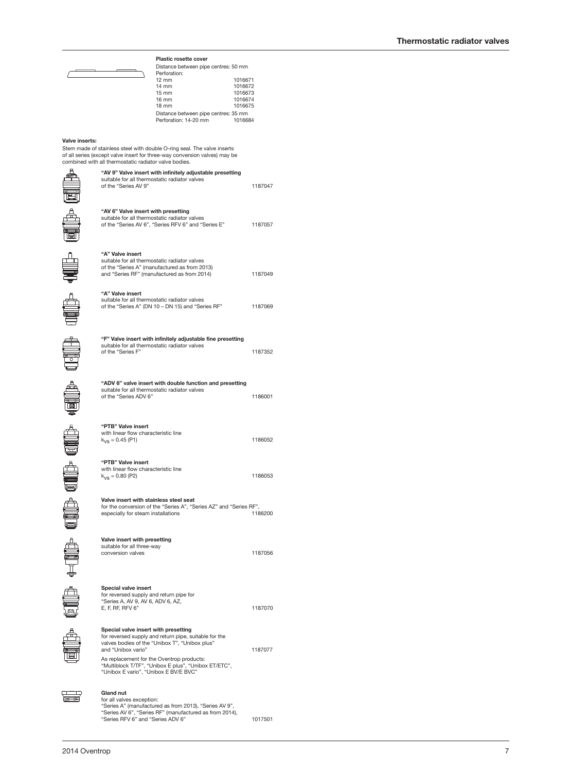| Perforation:                         |         |
|--------------------------------------|---------|
| $12 \text{ mm}$                      | 1016671 |
| $14 \text{ mm}$                      | 1016672 |
| $15 \text{ mm}$                      | 1016673 |
| 16 mm                                | 1016674 |
| 18 mm                                | 1016675 |
| Distance between pipe centres: 35 mm |         |
| Perforation: 14-20 mm                | 1016684 |
|                                      |         |

1187047

Distance between pipe centres: 50 mm

#### **Valve inserts:**

Stem made of stainless steel with double O-ring seal. The valve inserts of all series (except valve insert for three-way conversion valves) may be combined with all thermostatic radiator valve bodies.

**"AV 6" Valve insert with presetting**



| "AV 9" Valve insert with infinitely adjustable presetting |
|-----------------------------------------------------------|
| suitable for all thermostatic radiator valves             |
| of the "Series AV 9"                                      |

**Plastic rosette cover**



 $\begin{tabular}{ll} \multicolumn{1}{l}{\textbf{4M}} \\ \multicolumn{1}{l}{\textbf{4M}} \\ \multicolumn{1}{l}{\textbf{4M}} \\ \multicolumn{1}{l}{\textbf{4M}} \\ \multicolumn{1}{l}{\textbf{4M}} \\ \multicolumn{1}{l}{\textbf{4M}} \\ \multicolumn{1}{l}{\textbf{4M}} \\ \multicolumn{1}{l}{\textbf{4M}} \\ \multicolumn{1}{l}{\textbf{4M}} \\ \multicolumn{1}{l}{\textbf{4M}} \\ \multicolumn{1}{l}{\textbf{4M}} \\ \multicolumn{1}{l}{\textbf{4M}} \\ \multicolumn{1}{l$ 

**CENDE** 

illa edita qua qua qua ella

| suitable for all thermostatic radiator valves<br>of the "Series AV 6", "Series RFV 6" and "Series E"                                                                                                                                                                                                                | 1187057 |
|---------------------------------------------------------------------------------------------------------------------------------------------------------------------------------------------------------------------------------------------------------------------------------------------------------------------|---------|
| "A" Valve insert<br>suitable for all thermostatic radiator valves<br>of the "Series A" (manufactured as from 2013)<br>and "Series RF" (manufactured as from 2014)                                                                                                                                                   | 1187049 |
| "A" Valve insert<br>suitable for all thermostatic radiator valves<br>of the "Series A" (DN 10 - DN 15) and "Series RF"                                                                                                                                                                                              | 1187069 |
| "F" Valve insert with infinitely adjustable fine presetting<br>suitable for all thermostatic radiator valves<br>of the "Series F"                                                                                                                                                                                   | 1187352 |
| "ADV 6" valve insert with double function and presetting<br>suitable for all thermostatic radiator valves<br>of the "Series ADV 6"                                                                                                                                                                                  | 1186001 |
| "PTB" Valve insert<br>with linear flow characteristic line<br>$k_{VS} = 0.45$ (P1)                                                                                                                                                                                                                                  | 1186052 |
| "PTB" Valve insert<br>with linear flow characteristic line<br>$k_{V} = 0.80$ (P2)                                                                                                                                                                                                                                   | 1186053 |
| Valve insert with stainless steel seat<br>for the conversion of the "Series A", "Series AZ" and "Series RF",<br>especially for steam installations                                                                                                                                                                  | 1186200 |
| Valve insert with presetting<br>suitable for all three-way<br>conversion valves                                                                                                                                                                                                                                     | 1187056 |
| Special valve insert<br>for reversed supply and return pipe for<br>"Series A, AV 9, AV 6, ADV 6, AZ,<br>E, F, RF, RFV 6"                                                                                                                                                                                            | 1187070 |
| Special valve insert with presetting<br>for reversed supply and return pipe, suitable for the<br>valves bodies of the "Unibox T", "Unibox plus"<br>and "Unibox vario"<br>As replacement for the Oventrop products:<br>"Multiblock T/TF", "Unibox E plus", "Unibox ET/ETC",<br>"Unibox E vario", "Unibox E BV/E BVC" | 1187077 |
| Gland nut<br>for all valves exception:<br>"Series A" (manufactured as from 2013), "Series AV 9",<br>"Series AV 6", "Series RF" (manufactured as from 2014),<br>"Series RFV 6" and "Series ADV 6"                                                                                                                    | 1017501 |

풀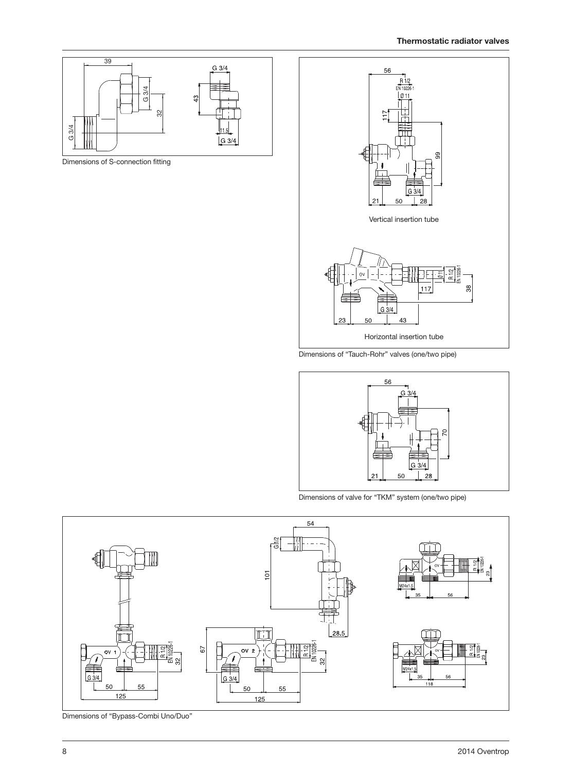

Dimensions of S-connection fitting



Dimensions of "Tauch-Rohr" valves (one/two pipe)



Dimensions of valve for "TKM" system (one/two pipe)



Dimensions of "Bypass-Combi Uno/Duo"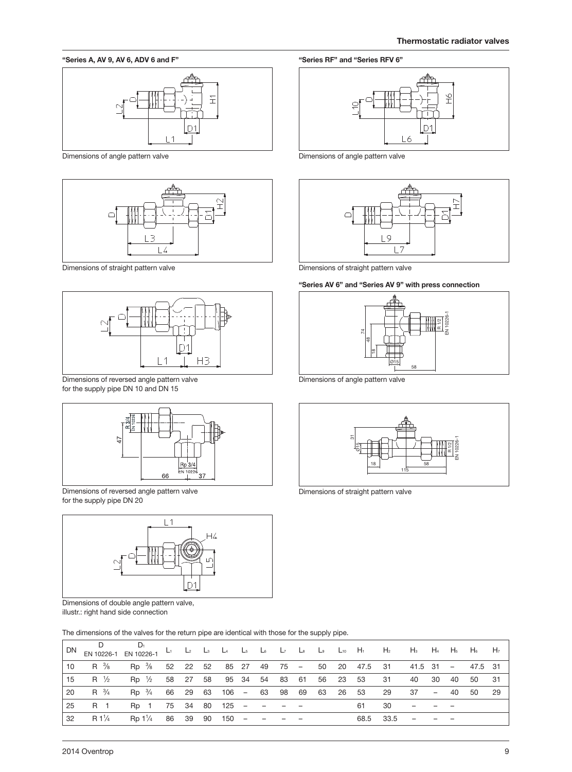#### **"Series A, AV 9, AV 6, ADV 6 and F"**



Dimensions of angle pattern valve



Dimensions of straight pattern valve



Dimensions of reversed angle pattern valve for the supply pipe DN 10 and DN 15



Dimensions of reversed angle pattern valve for the supply pipe DN 20



Dimensions of double angle pattern valve, illustr.: right hand side connection

The dimensions of the valves for the return pipe are identical with those for the supply pipe.

| DN | EN 10226-1      | $D_1$<br>EN 10226-1                       |       | $L_1$ $L_2$ $L_3$ $L_4$ |                            | $\mathsf{L}_5$ |  |          | $L_6$ $L_7$ $L_8$ $L_9$ $L_{10}$ $H_1$ $H_2$ |                                               | H3 H4 H5 H6              |       |      |    | H <sub>7</sub> |
|----|-----------------|-------------------------------------------|-------|-------------------------|----------------------------|----------------|--|----------|----------------------------------------------|-----------------------------------------------|--------------------------|-------|------|----|----------------|
| 10 | $R^{3/8}$       | Rp <sup>3</sup> / <sub>8</sub> 52 22 52   |       |                         |                            |                |  |          |                                              | 85 27 49 75 - 50 20 47.5 31 41.5 31 - 47.5 31 |                          |       |      |    |                |
| 15 | R $\frac{1}{2}$ | $Rp \frac{1}{2}$                          | 58 27 |                         | 58 95 34 54 83 61 56 23 53 |                |  |          |                                              | -31                                           | 40                       | 30    | - 40 | 50 | - 31           |
| 20 | $R^{3/4}$       | Rp 3/4 66 29 63                           |       |                         | 106 - 63 98 69             |                |  | 63 26 53 |                                              | -29                                           | 37                       | $-40$ |      | 50 | - 29           |
| 25 | R 1             | Rp 1                                      |       |                         | 75 34 80 125 –             |                |  |          | -61                                          | 30                                            |                          |       |      |    |                |
| 32 | $R1\frac{1}{4}$ | Rp 1 <sup>1</sup> / <sub>4</sub> 86 39 90 |       |                         | $150 -$                    |                |  |          | 68.5                                         | -33.5                                         | $\overline{\phantom{a}}$ |       |      |    |                |

**"Series RF" and "Series RFV 6"**



Dimensions of angle pattern valve



Dimensions of straight pattern valve

#### **"Series AV 6" and "Series AV 9" with press connection**



Dimensions of angle pattern valve



Dimensions of straight pattern valve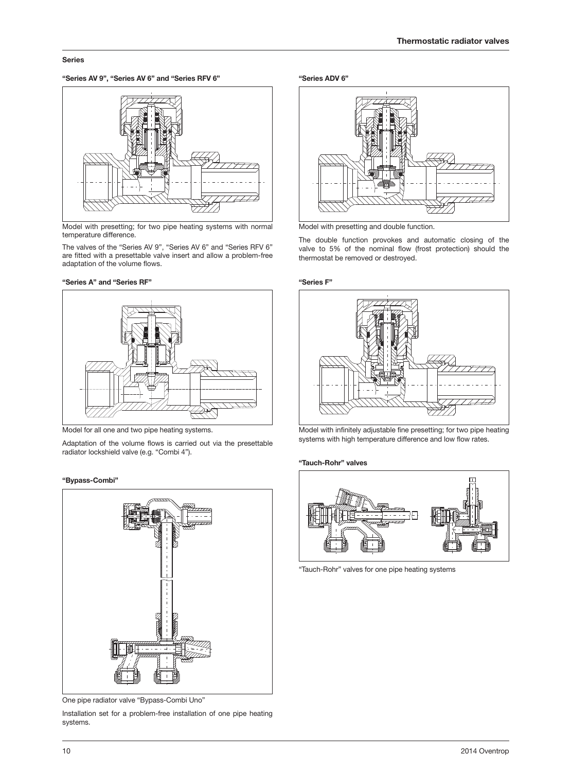#### **Series**

**"Series AV 9", "Series AV 6" and "Series RFV 6" "Series ADV 6"**



Model with presetting; for two pipe heating systems with normal temperature difference.

The valves of the "Series AV 9", "Series AV 6" and "Series RFV 6" are fitted with a presettable valve insert and allow a problem-free adaptation of the volume flows.

#### **"Series A" and "Series RF"**



Model for all one and two pipe heating systems.

Adaptation of the volume flows is carried out via the presettable radiator lockshield valve (e.g. "Combi 4").

#### **"Bypass-Combi"**



One pipe radiator valve "Bypass-Combi Uno"

Installation set for a problem-free installation of one pipe heating systems.



Model with presetting and double function.

The double function provokes and automatic closing of the valve to 5% of the nominal flow (frost protection) should the thermostat be removed or destroyed.

#### **"Series F"**



Model with infinitely adjustable fine presetting; for two pipe heating systems with high temperature difference and low flow rates.

#### **"Tauch-Rohr" valves**



"Tauch-Rohr" valves for one pipe heating systems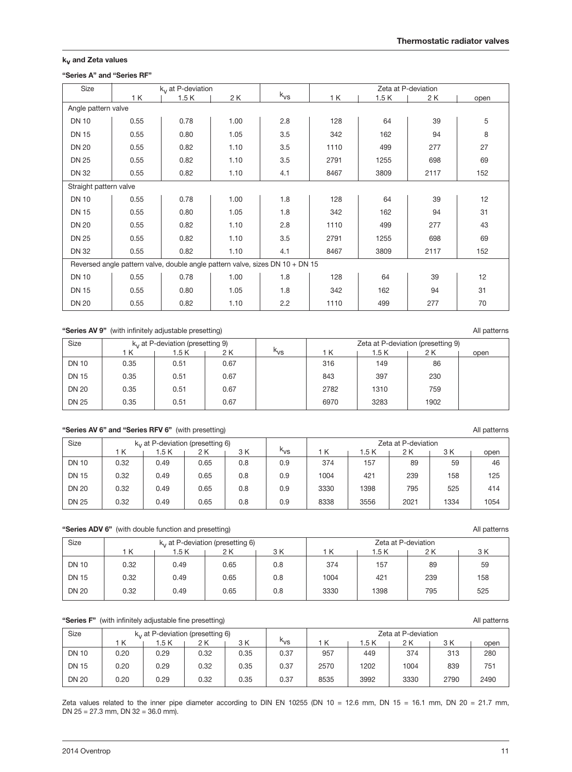### **kv and Zeta values**

### **"Series A" and "Series RF"**

| Size                   |      | k <sub>v</sub> at P-deviation |                                                                               |          |      |      | Zeta at P-deviation |      |
|------------------------|------|-------------------------------|-------------------------------------------------------------------------------|----------|------|------|---------------------|------|
|                        | 1 K  | 1.5K                          | 2 K                                                                           | $k_{VS}$ | 1 K  | 1.5K | 2 K                 | open |
| Angle pattern valve    |      |                               |                                                                               |          |      |      |                     |      |
| <b>DN 10</b>           | 0.55 | 0.78                          | 1.00                                                                          | 2.8      | 128  | 64   | 39                  | 5    |
| <b>DN 15</b>           | 0.55 | 0.80                          | 1.05                                                                          | 3.5      | 342  | 162  | 94                  | 8    |
| <b>DN 20</b>           | 0.55 | 0.82                          | 1.10                                                                          | 3.5      | 1110 | 499  | 277                 | 27   |
| <b>DN 25</b>           | 0.55 | 0.82                          | 1.10                                                                          | 3.5      | 2791 | 1255 | 698                 | 69   |
| <b>DN 32</b>           | 0.55 | 0.82                          | 1.10                                                                          | 4.1      | 8467 | 3809 | 2117                | 152  |
| Straight pattern valve |      |                               |                                                                               |          |      |      |                     |      |
| <b>DN 10</b>           | 0.55 | 0.78                          | 1.00                                                                          | 1.8      | 128  | 64   | 39                  | 12   |
| <b>DN 15</b>           | 0.55 | 0.80                          | 1.05                                                                          | 1.8      | 342  | 162  | 94                  | 31   |
| <b>DN 20</b>           | 0.55 | 0.82                          | 1.10                                                                          | 2.8      | 1110 | 499  | 277                 | 43   |
| <b>DN 25</b>           | 0.55 | 0.82                          | 1.10                                                                          | 3.5      | 2791 | 1255 | 698                 | 69   |
| <b>DN 32</b>           | 0.55 | 0.82                          | 1.10                                                                          | 4.1      | 8467 | 3809 | 2117                | 152  |
|                        |      |                               | Reversed angle pattern valve, double angle pattern valve, sizes DN 10 + DN 15 |          |      |      |                     |      |
| <b>DN 10</b>           | 0.55 | 0.78                          | 1.00                                                                          | 1.8      | 128  | 64   | 39                  | 12   |
| <b>DN 15</b>           | 0.55 | 0.80                          | 1.05                                                                          | 1.8      | 342  | 162  | 94                  | 31   |
| <b>DN 20</b>           | 0.55 | 0.82                          | 1.10                                                                          | 2.2      | 1110 | 499  | 277                 | 70   |

### "Series AV 9" (with infinitely adjustable presetting) **All patterns** All patterns

| Size         |      | $k_{v}$ at P-deviation (presetting 9) |      |          |      |       | Zeta at P-deviation (presetting 9) |      |
|--------------|------|---------------------------------------|------|----------|------|-------|------------------------------------|------|
|              | ΙK   | 1.5 K                                 | 2 K  | $k_{VS}$ | i K  | 1.5 K | 2 K                                | open |
| <b>DN 10</b> | 0.35 | 0.51                                  | 0.67 |          | 316  | 149   | 86                                 |      |
| <b>DN 15</b> | 0.35 | 0.51                                  | 0.67 |          | 843  | 397   | 230                                |      |
| <b>DN 20</b> | 0.35 | 0.51                                  | 0.67 |          | 2782 | 1310  | 759                                |      |
| <b>DN 25</b> | 0.35 | 0.51                                  | 0.67 |          | 6970 | 3283  | 1902                               |      |

### **"Series AV 6" and "Series RFV 6"** (with presetting) All patterns and the series AV 6" and "Series RFV 6" (with presetting)

| Size         |      | $k_v$ at P-deviation (presetting 6) |      |     |          | Zeta at P-deviation |      |      |      |      |  |
|--------------|------|-------------------------------------|------|-----|----------|---------------------|------|------|------|------|--|
|              | 'Κ   | 1.5 K                               | 2 K  | 3 K | $k_{VS}$ | K                   | .5 K | 2 K  | 3 K  | open |  |
| <b>DN 10</b> | 0.32 | 0.49                                | 0.65 | 0.8 | 0.9      | 374                 | 157  | 89   | 59   | 46   |  |
| <b>DN 15</b> | 0.32 | 0.49                                | 0.65 | 0.8 | 0.9      | 1004                | 421  | 239  | 158  | 125  |  |
| <b>DN 20</b> | 0.32 | 0.49                                | 0.65 | 0.8 | 0.9      | 3330                | 1398 | 795  | 525  | 414  |  |
| <b>DN 25</b> | 0.32 | 0.49                                | 0.65 | 0.8 | 0.9      | 8338                | 3556 | 2021 | 1334 | 1054 |  |

#### "Series ADV 6" (with double function and presetting) **All patterns** All patterns

| Size         |      |       | $kv$ at P-deviation (presetting 6) |     | Zeta at P-deviation |      |     |     |  |  |  |
|--------------|------|-------|------------------------------------|-----|---------------------|------|-----|-----|--|--|--|
|              | K    | 1.5 K | 2 K                                | 3 K | 'Κ                  | .5 K | 2 K | 3 K |  |  |  |
| <b>DN 10</b> | 0.32 | 0.49  | 0.65                               | 0.8 | 374                 | 157  | 89  | 59  |  |  |  |
| <b>DN 15</b> | 0.32 | 0.49  | 0.65                               | 0.8 | 1004                | 421  | 239 | 158 |  |  |  |
| <b>DN 20</b> | 0.32 | 0.49  | 0.65                               | 0.8 | 3330                | 1398 | 795 | 525 |  |  |  |

### **"Series F"** (with infinitely adjustable fine presetting) All patterns **All patterns** All patterns **All patterns**

| Size         |      | $k_{v}$ at P-deviation (presetting 6) |      |      |                 | Zeta at P-deviation |      |      |      |      |
|--------------|------|---------------------------------------|------|------|-----------------|---------------------|------|------|------|------|
|              | ΙK   | .5 K                                  | 2 K  | 3 K  | <sup>n</sup> vs | K                   | .5 K | 2 K  | 3 K  | open |
| <b>DN 10</b> | 0.20 | 0.29                                  | 0.32 | 0.35 | 0.37            | 957                 | 449  | 374  | 313  | 280  |
| <b>DN 15</b> | 0.20 | 0.29                                  | 0.32 | 0.35 | 0.37            | 2570                | 1202 | 1004 | 839  | 751  |
| <b>DN 20</b> | 0.20 | 0.29                                  | 0.32 | 0.35 | 0.37            | 8535                | 3992 | 3330 | 2790 | 2490 |

Zeta values related to the inner pipe diameter according to DIN EN 10255 (DN 10 = 12.6 mm, DN 15 = 16.1 mm, DN 20 = 21.7 mm, DN  $25 = 27.3$  mm, DN  $32 = 36.0$  mm).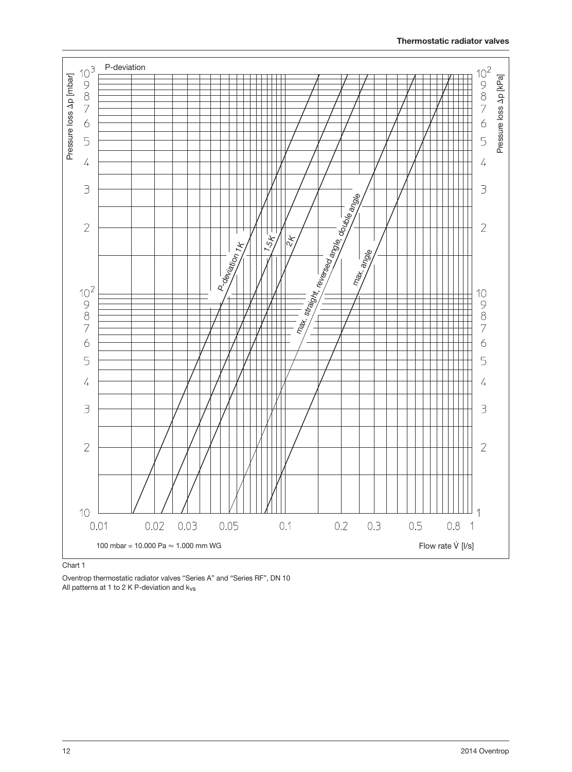

Chart 1

Oventrop thermostatic radiator valves "Series A" and "Series RF", DN 10 All patterns at 1 to 2 K P-deviation and kvs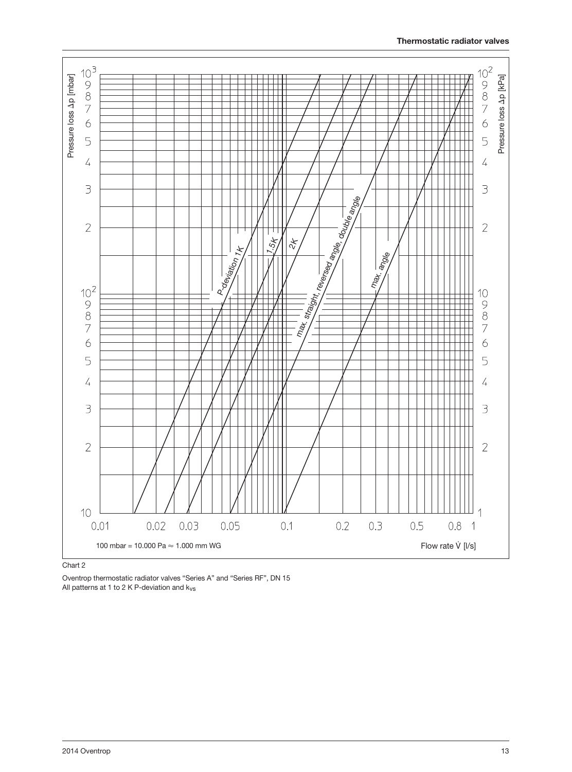

Oventrop thermostatic radiator valves "Series A" and "Series RF", DN 15 All patterns at 1 to 2 K P-deviation and kvs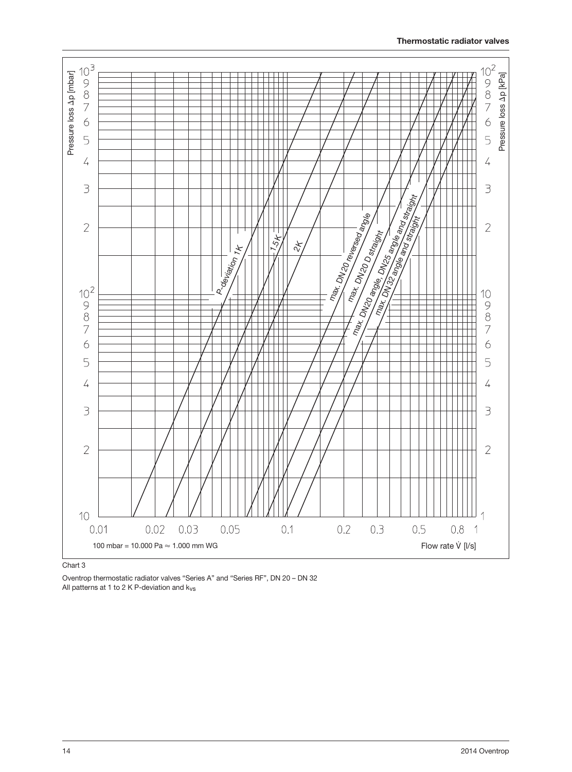

Chart 3

Oventrop thermostatic radiator valves "Series A" and "Series RF", DN 20 – DN 32 All patterns at 1 to 2 K P-deviation and k<sub>vs</sub>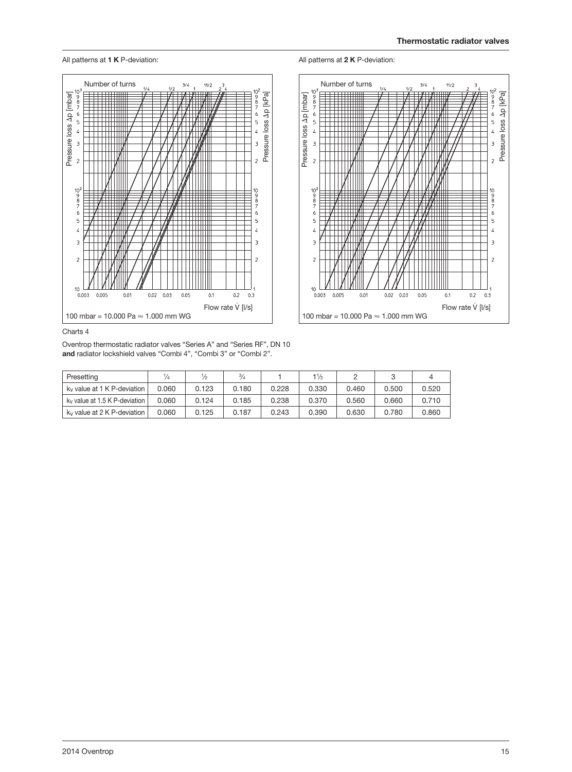All patterns at **2 K** P-deviation:







Charts 4

Oventrop thermostatic radiator valves "Series A" and "Series RF", DN 10 **and** radiator lockshield valves "Combi 4", "Combi 3" or "Combi 2".

| Presetting                              |       | /2    | $^{3}/_{4}$ |       | $1\frac{1}{2}$ |       |       |       |
|-----------------------------------------|-------|-------|-------------|-------|----------------|-------|-------|-------|
| k <sub>y</sub> value at 1 K P-deviation | 0.060 | 0.123 | 0.180       | 0.228 | 0.330          | 0.460 | 0.500 | 0.520 |
| ky value at 1.5 K P-deviation           | 0.060 | 0.124 | 0.185       | 0.238 | 0.370          | 0.560 | 0.660 | 0.710 |
| k <sub>y</sub> value at 2 K P-deviation | 0.060 | 0.125 | 0.187       | 0.243 | 0.390          | 0.630 | 0.780 | 0.860 |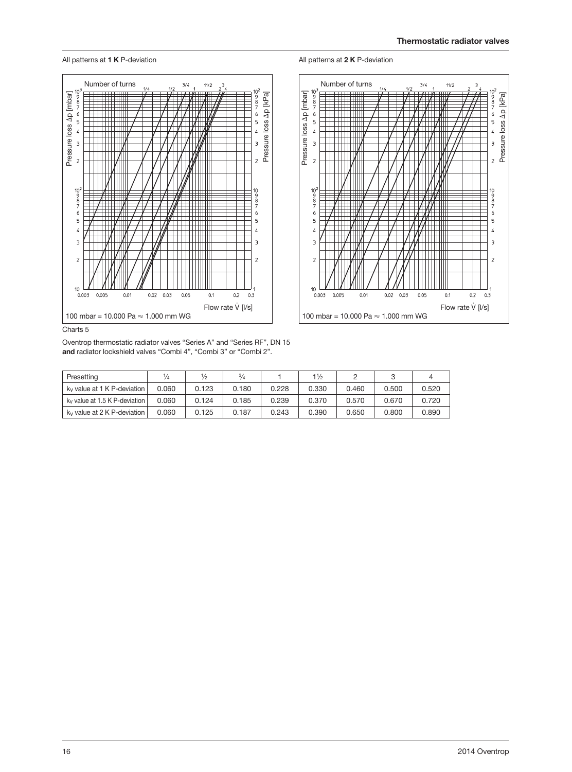



Oventrop thermostatic radiator valves "Series A" and "Series RF", DN 15 **and** radiator lockshield valves "Combi 4", "Combi 3" or "Combi 2".

| Presetting                              |       |       | $\frac{3}{4}$ |       | $1\frac{1}{2}$ |       |       |       |
|-----------------------------------------|-------|-------|---------------|-------|----------------|-------|-------|-------|
| k <sub>y</sub> value at 1 K P-deviation | 0.060 | 0.123 | 0.180         | 0.228 | 0.330          | 0.460 | 0.500 | 0.520 |
| ky value at 1.5 K P-deviation           | 0.060 | 0.124 | 0.185         | 0.239 | 0.370          | 0.570 | 0.670 | 0.720 |
| k <sub>y</sub> value at 2 K P-deviation | 0.060 | 0.125 | 0.187         | 0.243 | 0.390          | 0.650 | 0.800 | 0.890 |

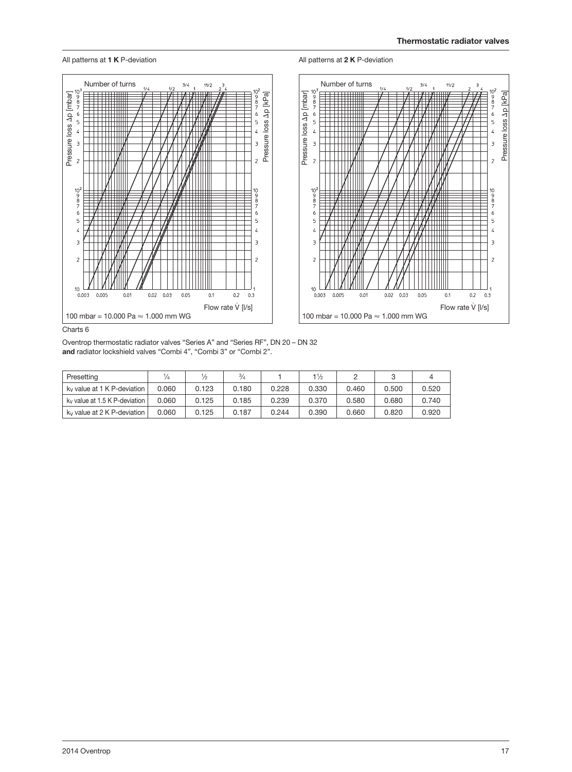

#### All patterns at **1 K** P-deviation **All patterns at <b>2 K** P-deviation

Charts 6

Oventrop thermostatic radiator valves "Series A" and "Series RF", DN 20 – DN 32 **and** radiator lockshield valves "Combi 4", "Combi 3" or "Combi 2".

| Presetting                              |       | ⅛     | $\frac{3}{4}$ |       | $1\frac{1}{2}$ |       |       |       |
|-----------------------------------------|-------|-------|---------------|-------|----------------|-------|-------|-------|
| k <sub>y</sub> value at 1 K P-deviation | 0.060 | 0.123 | 0.180         | 0.228 | 0.330          | 0.460 | 0.500 | 0.520 |
| ky value at 1.5 K P-deviation           | 0.060 | 0.125 | 0.185         | 0.239 | 0.370          | 0.580 | 0.680 | 0.740 |
| k <sub>y</sub> value at 2 K P-deviation | 0.060 | 0.125 | 0.187         | 0.244 | 0.390          | 0.660 | 0.820 | 0.920 |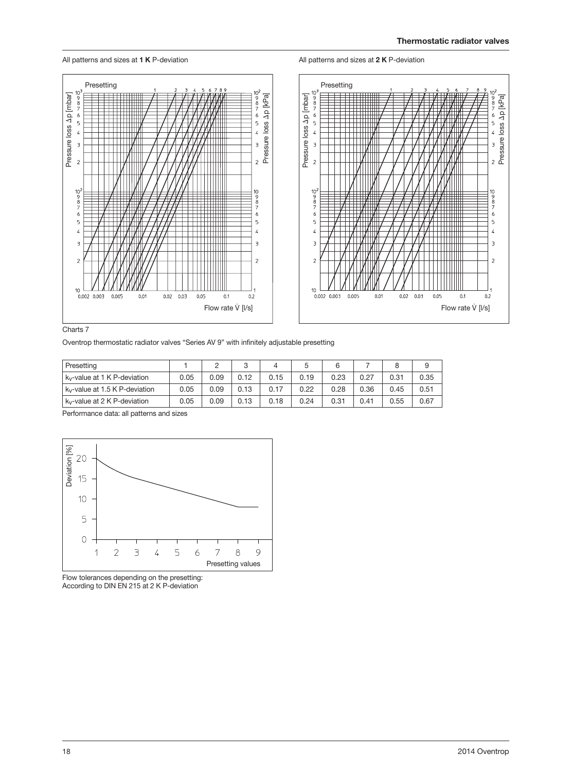All patterns and sizes at **1 K** P-deviation

#### All patterns and sizes at **2 K** P-deviation



Charts 7

Oventrop thermostatic radiator valves "Series AV 9" with infinitely adjustable presetting

| Presetting                               |      |      | ◠    |      |      | 6    |      |      |      |
|------------------------------------------|------|------|------|------|------|------|------|------|------|
| k <sub>y</sub> -value at 1 K P-deviation | 0.05 | 0.09 | 0.12 | 0.15 | 0.19 | 0.23 | 0.27 | 0.31 | 0.35 |
| ky-value at 1.5 K P-deviation            | 0.05 | 0.09 | 0.13 | 0.17 | 0.22 | 0.28 | 0.36 | 0.45 | 0.51 |
| ky-value at 2 K P-deviation              | 0.05 | 0.09 | 0.13 | 0.18 | 0.24 | 0.31 | 0.41 | 0.55 | 0.67 |

Performance data: all patterns and sizes



Flow tolerances depending on the presetting: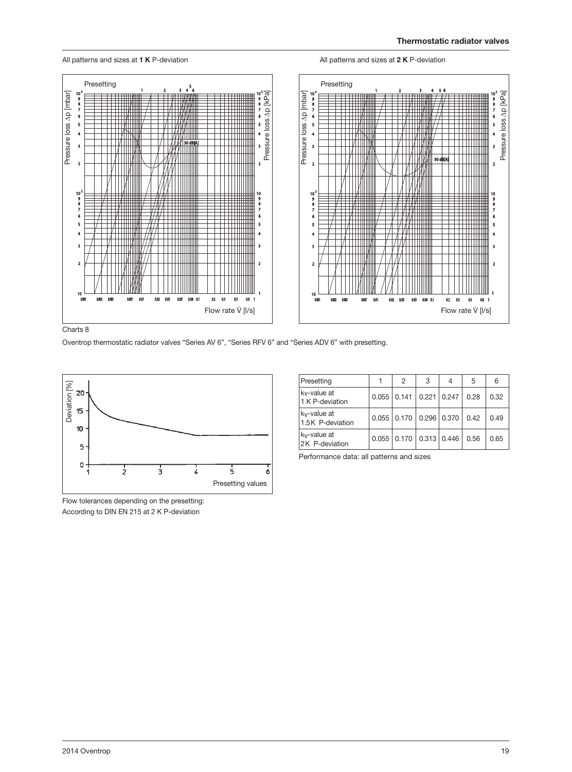All patterns and sizes at **1 K** P-deviation **All patterns and sizes at 2 K** P-deviation



Charts 8

Oventrop thermostatic radiator valves "Series AV 6", "Series RFV 6" and "Series ADV 6" with presetting.



Flow tolerances depending on the presetting: According to DIN EN 215 at 2 K P-deviation

| Presetting                      |                   | 2 | 3             | 4             | 5    | 6    |
|---------------------------------|-------------------|---|---------------|---------------|------|------|
| ky-value at<br>1 K P-deviation  | $0.055$   $0.141$ |   | $0.221$ 0.247 |               | 0.28 | 0.32 |
| ky-value at<br>1.5K P-deviation | $0.055$   $0.170$ |   |               | $0.296$ 0.370 | 0.42 | 0.49 |
| ky-value at<br>2K P-deviation   | $0.055$   $0.170$ |   |               | 0.313   0.446 | 0.56 | 0.65 |

Performance data: all patterns and sizes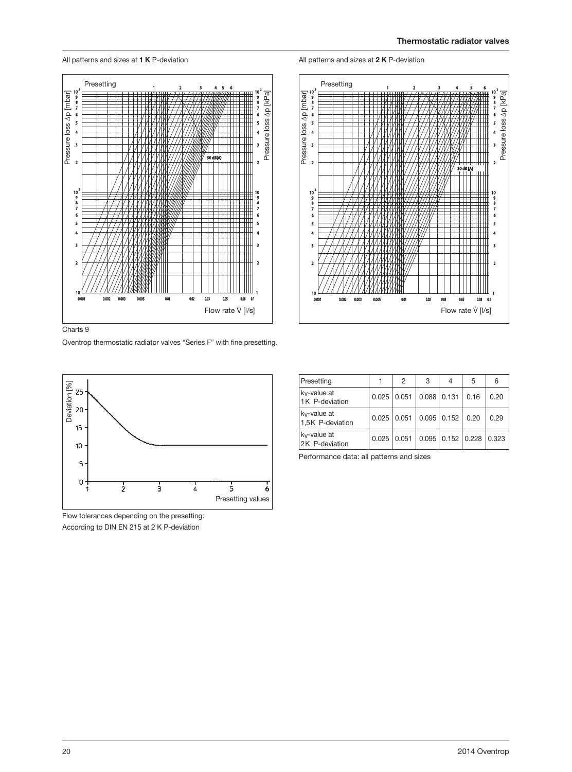All patterns and sizes at **1 K** P-deviation All patterns and sizes at **2 K** P-deviation

Presetting



Pressure loss Δp [kPa]

Pressure loss Ap [kPa]

 $\overline{\mathbf{4}}$ 

 $\overline{\mathbf{3}}$ 

 $\overline{\mathbf{r}}$ 

 $\begin{array}{c} 10 \\ 9 \\ 8 \\ 7 \\ 6 \end{array}$ 

 $\overline{\phantom{a}}$ 

 $\overline{4}$ 

 $\overline{\mathbf{3}}$ 

 $\overline{\mathbf{2}}$ 





Pressure loss Δp [mbar]

 $\frac{10}{9}$ <br>8<br>7

 $\overline{\phantom{a}}$  $\overline{\phantom{a}}$ 

 $\overline{4}$ 

 $\overline{\mathbf{3}}$ 

 $\overline{2}$ 

 $10$ 

Oventrop thermostatic radiator valves "Series F" with fine presetting.

 $0<sub>0</sub>$ 

 $0.02$  $0.05$ 

 $0.00$ 

Flow rate  $\dot{V}$  [I/s]

0.08  $\alpha$ 

 $4<sub>5</sub>$ 



Flow tolerances depending on the presetting: According to DIN EN 215 at 2 K P-deviation

| Presetting                                   |                 | 2 | 3 | 4                       | 5    | 6     |
|----------------------------------------------|-----------------|---|---|-------------------------|------|-------|
| k <sub>v</sub> -value at<br>1K P-deviation   | $0.025$   0.051 |   |   | $0.088$ 0.131           | 0.16 | 0.20  |
| k <sub>v</sub> -value at<br>1,5K P-deviation | $0.025$   0.051 |   |   | $0.095$   0.152   0.20  |      | 0.29  |
| ky-value at<br>2K P-deviation                | $0.025$   0.051 |   |   | $0.095$   0.152   0.228 |      | 0.323 |

Performance data: all patterns and sizes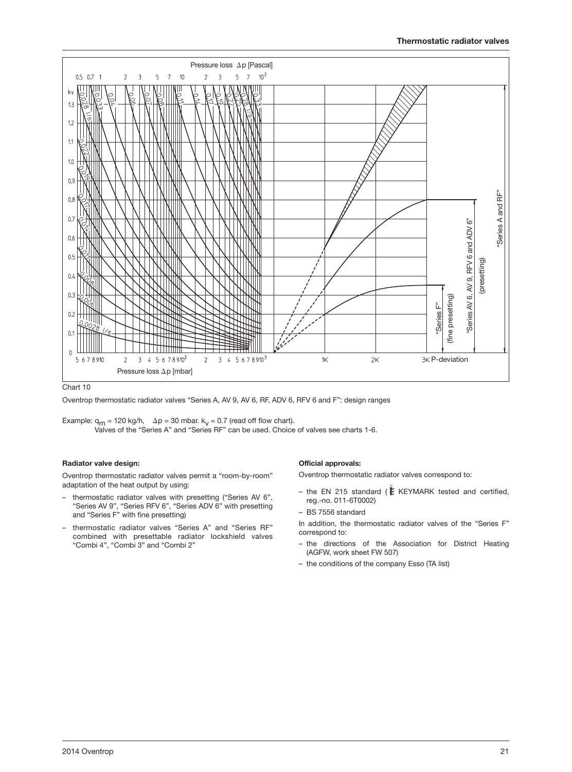

#### Chart 10

Oventrop thermostatic radiator valves "Series A, AV 9, AV 6, RF, ADV 6, RFV 6 and F": design ranges

Example:  $q_m = 120 \text{ kg/h}$ ,  $\Delta p = 30 \text{ mbar}$ .  $k_v = 0.7$  (read off flow chart). Valves of the "Series A" and "Series RF" can be used. Choice of valves see charts 1-6.

#### **Radiator valve design:**

Oventrop thermostatic radiator valves permit a "room-by-room" adaptation of the heat output by using:

- thermostatic radiator valves with presetting ("Series AV 6", "Series AV 9", "Series RFV 6", "Series ADV 6" with presetting and "Series F" with fine presetting)
- thermostatic radiator valves "Series A" and "Series RF" combined with presettable radiator lockshield valves "Combi 4", "Combi 3" and "Combi 2"

#### **Official approvals:**

Oventrop thermostatic radiator valves correspond to:

– the EN 215 standard ( $E$  KEYMARK tested and certified, reg.-no. 011-6T0002)

#### – BS 7556 standard

- In addition, the thermostatic radiator valves of the "Series F" correspond to:
- the directions of the Association for District Heating (AGFW, work sheet FW 507)
- the conditions of the company Esso (TA list)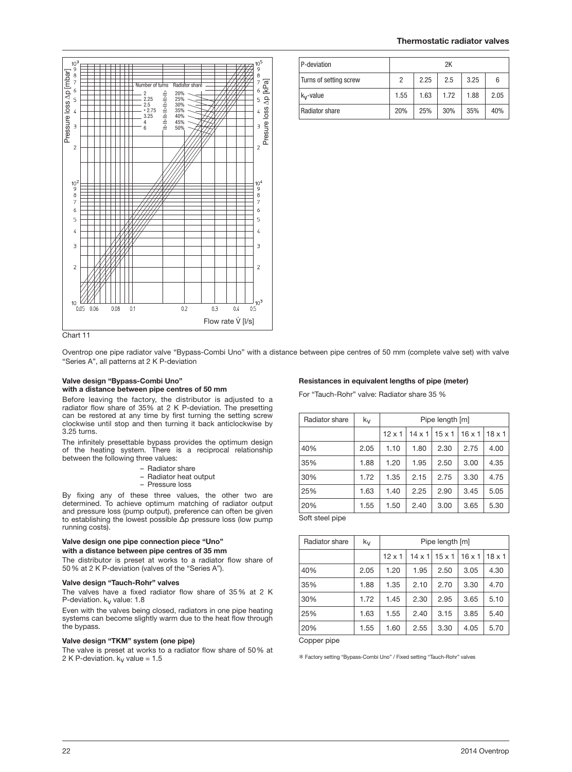

| P-deviation            | 2K   |      |      |      |      |  |
|------------------------|------|------|------|------|------|--|
| Turns of setting screw | 2    | 2.25 | 2.5  | 3.25 | 6    |  |
| $k_v$ -value           | 1.55 | 1.63 | 1.72 | 1.88 | 2.05 |  |
| Radiator share         | 20%  | 25%  | 30%  | 35%  | 40%  |  |

Chart 11

Oventrop one pipe radiator valve "Bypass-Combi Uno" with a distance between pipe centres of 50 mm (complete valve set) with valve "Series A", all patterns at 2 K P-deviation

#### **Valve design "Bypass-Combi Uno" with a distance between pipe centres of 50 mm**

Before leaving the factory, the distributor is adjusted to a radiator flow share of 35% at 2 K P-deviation. The presetting can be restored at any time by first turning the setting screw clockwise until stop and then turning it back anticlockwise by 3.25 turns.

The infinitely presettable bypass provides the optimum design of the heating system. There is a reciprocal relationship between the following three values:

| Radiator share |  |
|----------------|--|
|----------------|--|

- Radiator heat output
- Pressure loss

By fixing any of these three values, the other two are determined. To achieve optimum matching of radiator output and pressure loss (pump output), preference can often be given to establishing the lowest possible Δp pressure loss (low pump running costs).

#### **Valve design one pipe connection piece "Uno" with a distance between pipe centres of 35 mm**

The distributor is preset at works to a radiator flow share of 50 % at 2 K P-deviation (valves of the "Series A").

#### **Valve design "Tauch-Rohr" valves**

The valves have a fixed radiator flow share of 35 % at 2 K P-deviation.  $k_v$  value: 1.8

Even with the valves being closed, radiators in one pipe heating systems can become slightly warm due to the heat flow through the bypass.

#### **Valve design "TKM" system (one pipe)**

The valve is preset at works to a radiator flow share of 50% at 2 K P-deviation.  $k_v$  value = 1.5

#### **Resistances in equivalent lengths of pipe (meter)**

For "Tauch-Rohr" valve: Radiator share 35 %

| Radiator share      | kv   | Pipe length [m] |               |               |               |               |
|---------------------|------|-----------------|---------------|---------------|---------------|---------------|
|                     |      | $12 \times 1$   | $14 \times 1$ | $15 \times 1$ | $16 \times 1$ | $18 \times 1$ |
| 40%                 | 2.05 | 1.10            | 1.80          | 2.30          | 2.75          | 4.00          |
| 35%                 | 1.88 | 1.20            | 1.95          | 2.50          | 3.00          | 4.35          |
| 30%                 | 1.72 | 1.35            | 2.15          | 2.75          | 3.30          | 4.75          |
| 25%                 | 1.63 | 1.40            | 2.25          | 2.90          | 3.45          | 5.05          |
| 20%                 | 1.55 | 1.50            | 2.40          | 3.00          | 3.65          | 5.30          |
| $Coff$ at all pines |      |                 |               |               |               |               |

Soft steel pipe

| Radiator share | $k_{V}$ | Pipe length [m] |               |               |               |               |
|----------------|---------|-----------------|---------------|---------------|---------------|---------------|
|                |         | $12 \times 1$   | $14 \times 1$ | $15 \times 1$ | $16 \times 1$ | $18 \times 1$ |
| 40%            | 2.05    | 1.20            | 1.95          | 2.50          | 3.05          | 4.30          |
| 35%            | 1.88    | 1.35            | 2.10          | 2.70          | 3.30          | 4.70          |
| 30%            | 1.72    | 1.45            | 2.30          | 2.95          | 3.65          | 5.10          |
| 25%            | 1.63    | 1.55            | 2.40          | 3.15          | 3.85          | 5.40          |
| 20%            | 1.55    | 1.60            | 2.55          | 3.30          | 4.05          | 5.70          |

Copper pipe

\* Factory setting "Bypass-Combi Uno" / Fixed setting "Tauch-Rohr" valves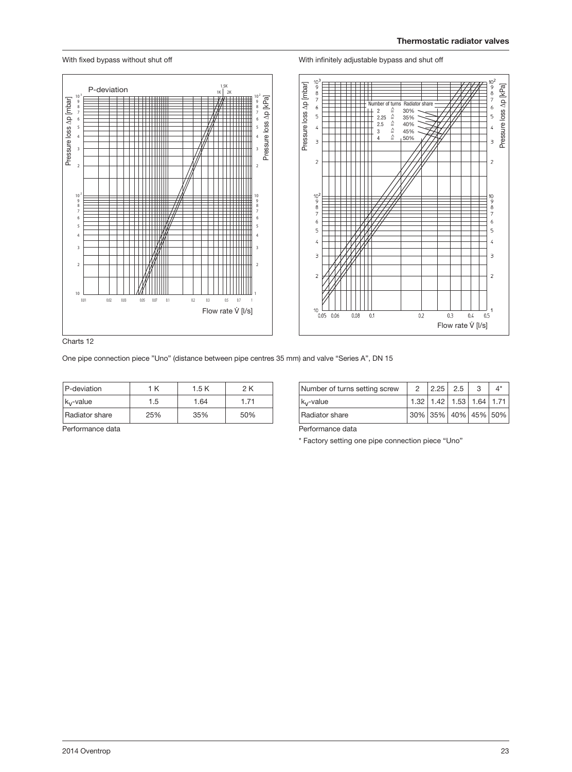

With fixed bypass without shut off

#### With infinitely adjustable bypass and shut off

Charts 12

| P-deviation           | 1 K | 1.5 K | 2 K  |
|-----------------------|-----|-------|------|
| $k_v$ -value          | 1.5 | 1.64  | 1.71 |
| <b>Radiator share</b> | 25% | 35%   | 50%  |

| Number of turns setting screw | $\sim$ 2               | 2.25 2.5                           | -3 |  |
|-------------------------------|------------------------|------------------------------------|----|--|
| $k_v$ -value                  |                        | $1.32$   1.42   1.53   1.64   1.71 |    |  |
| <b>Radiator share</b>         | $30\%$ 35% 40% 45% 50% |                                    |    |  |

Performance data

Performance data

\* Factory setting one pipe connection piece "Uno"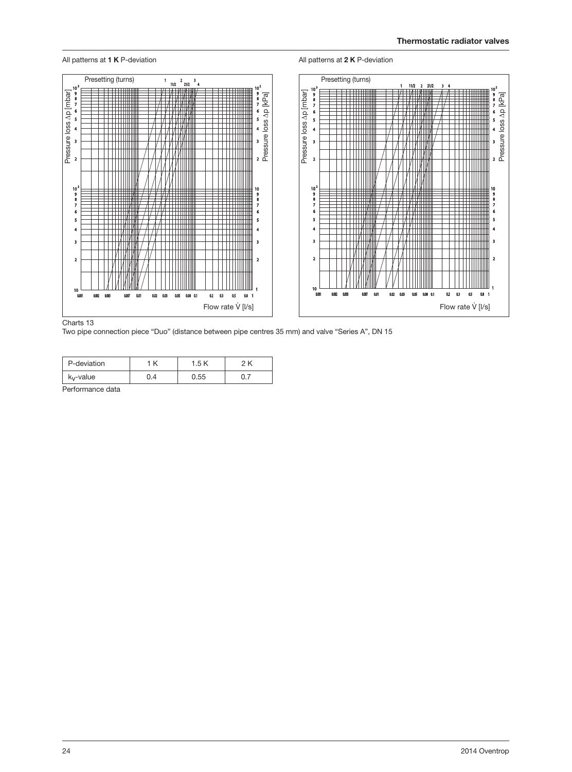

#### Charts 13

Two pipe connection piece "Duo" (distance between pipe centres 35 mm) and valve "Series A", DN 15

| P-deviation           | K | l.5  |  |
|-----------------------|---|------|--|
| k <sub>v</sub> -value |   | ).55 |  |

Performance data

24 2014 Oventrop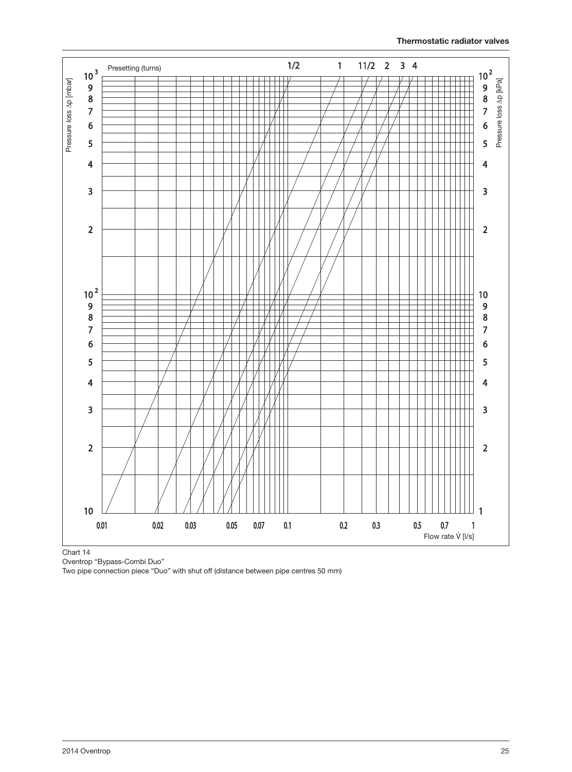![](_page_24_Figure_1.jpeg)

Chart 14

Oventrop "Bypass-Combi Duo"

Two pipe connection piece "Duo" with shut off (distance between pipe centres 50 mm)